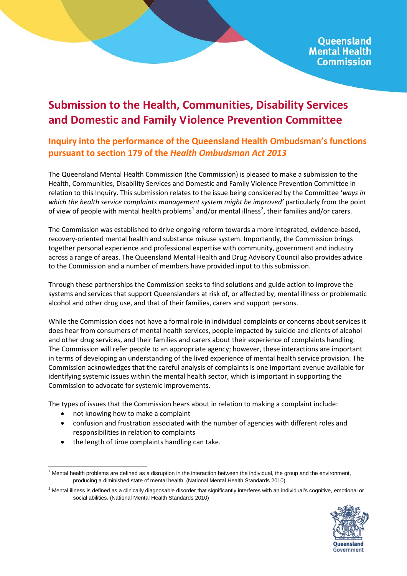## **Submission to the Health, Communities, Disability Services and Domestic and Family Violence Prevention Committee**

## **Inquiry into the performance of the Queensland Health Ombudsman's functions pursuant to section 179 of the** *Health Ombudsman Act 2013*

The Queensland Mental Health Commission (the Commission) is pleased to make a submission to the Health, Communities, Disability Services and Domestic and Family Violence Prevention Committee in relation to this Inquiry. This submission relates to the issue being considered by the Committee '*ways in*  which the health service complaints management system might be improved' particularly from the point of view of people with mental health problems<sup>[1](#page-0-0)</sup> and/or mental illness<sup>[2](#page-0-1)</sup>, their families and/or carers.

The Commission was established to drive ongoing reform towards a more integrated, evidence-based, recovery-oriented mental health and substance misuse system. Importantly, the Commission brings together personal experience and professional expertise with community, government and industry across a range of areas. The Queensland Mental Health and Drug Advisory Council also provides advice to the Commission and a number of members have provided input to this submission.

Through these partnerships the Commission seeks to find solutions and guide action to improve the systems and services that support Queenslanders at risk of, or affected by, mental illness or problematic alcohol and other drug use, and that of their families, carers and support persons.

While the Commission does not have a formal role in individual complaints or concerns about services it does hear from consumers of mental health services, people impacted by suicide and clients of alcohol and other drug services, and their families and carers about their experience of complaints handling. The Commission will refer people to an appropriate agency; however, these interactions are important in terms of developing an understanding of the lived experience of mental health service provision. The Commission acknowledges that the careful analysis of complaints is one important avenue available for identifying systemic issues within the mental health sector, which is important in supporting the Commission to advocate for systemic improvements.

The types of issues that the Commission hears about in relation to making a complaint include:

- not knowing how to make a complaint
- confusion and frustration associated with the number of agencies with different roles and responsibilities in relation to complaints
- the length of time complaints handling can take.

<span id="page-0-1"></span><sup>&</sup>lt;sup>2</sup> Mental illness is defined as a clinically diagnosable disorder that significantly interferes with an individual's cognitive, emotional or social abilities. (National Mental Health Standards 2010)



<span id="page-0-0"></span> $1$  Mental health problems are defined as a disruption in the interaction between the individual, the group and the environment, producing a diminished state of mental health. (National Mental Health Standards 2010)  $\overline{1}$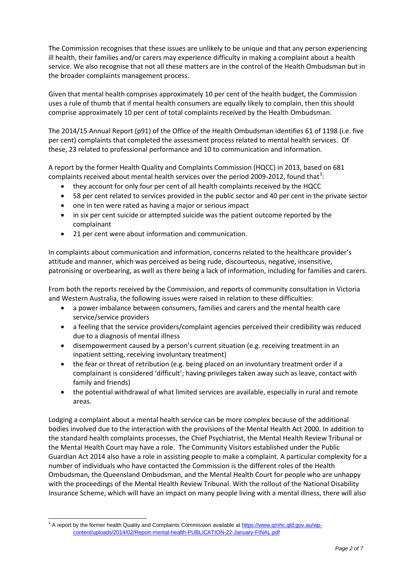The Commission recognises that these issues are unlikely to be unique and that any person experiencing ill health, their families and/or carers may experience difficulty in making a complaint about a health service. We also recognise that not all these matters are in the control of the Health Ombudsman but in the broader complaints management process.

Given that mental health comprises approximately 10 per cent of the health budget, the Commission uses a rule of thumb that if mental health consumers are equally likely to complain, then this should comprise approximately 10 per cent of total complaints received by the Health Ombudsman.

The 2014/15 Annual Report (p91) of the Office of the Health Ombudsman identifies 61 of 1198 (i.e. five per cent) complaints that completed the assessment process related to mental health services. Of these, 23 related to professional performance and 10 to communication and information.

A report by the former Health Quality and Complaints Commission (HQCC) in 2013, based on 681 complaints received about mental health services over the period 2009-2012, found that<sup>[3](#page-1-0)</sup>:

- they account for only four per cent of all health complaints received by the HQCC
- 58 per cent related to services provided in the public sector and 40 per cent in the private sector
- one in ten were rated as having a major or serious impact
- in six per cent suicide or attempted suicide was the patient outcome reported by the complainant
- 21 per cent were about information and communication.

In complaints about communication and information, concerns related to the healthcare provider's attitude and manner, which was perceived as being rude, discourteous, negative, insensitive, patronising or overbearing, as well as there being a lack of information, including for families and carers.

From both the reports received by the Commission, and reports of community consultation in Victoria and Western Australia, the following issues were raised in relation to these difficulties:

- a power imbalance between consumers, families and carers and the mental health care service/service providers
- a feeling that the service providers/complaint agencies perceived their credibility was reduced due to a diagnosis of mental illness
- disempowerment caused by a person's current situation (e.g. receiving treatment in an inpatient setting, receiving involuntary treatment)
- the fear or threat of retribution (e.g. being placed on an involuntary treatment order if a complainant is considered 'difficult'; having privileges taken away such as leave, contact with family and friends)
- the potential withdrawal of what limited services are available, especially in rural and remote areas.

Lodging a complaint about a mental health service can be more complex because of the additional bodies involved due to the interaction with the provisions of the Mental Health Act 2000. In addition to the standard health complaints processes, the Chief Psychiatrist, the Mental Health Review Tribunal or the Mental Health Court may have a role. The Community Visitors established under the Public Guardian Act 2014 also have a role in assisting people to make a complaint. A particular complexity for a number of individuals who have contacted the Commission is the different roles of the Health Ombudsman, the Queensland Ombudsman, and the Mental Health Court for people who are unhappy with the proceedings of the Mental Health Review Tribunal. With the rollout of the National Disability Insurance Scheme, which will have an impact on many people living with a mental illness, there will also

<span id="page-1-0"></span><sup>&</sup>lt;sup>3</sup> A report by the former health Quality and Complaints Commission available at [https://www.qmhc.qld.gov.au/wp](https://www.qmhc.qld.gov.au/wp-content/uploads/2014/02/Report-mental-health-PUBLICATION-22-January-FINAL.pdf)[content/uploads/2014/02/Report-mental-health-PUBLICATION-22-January-FINAL.pdf](https://www.qmhc.qld.gov.au/wp-content/uploads/2014/02/Report-mental-health-PUBLICATION-22-January-FINAL.pdf)  $\overline{a}$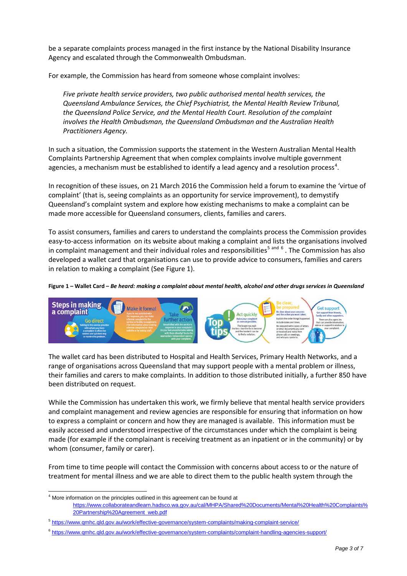be a separate complaints process managed in the first instance by the National Disability Insurance Agency and escalated through the Commonwealth Ombudsman.

For example, the Commission has heard from someone whose complaint involves:

*Five private health service providers, two public authorised mental health services, the Queensland Ambulance Services, the Chief Psychiatrist, the Mental Health Review Tribunal, the Queensland Police Service, and the Mental Health Court. Resolution of the complaint involves the Health Ombudsman, the Queensland Ombudsman and the Australian Health Practitioners Agency.*

In such a situation, the Commission supports the statement in the Western Australian Mental Health Complaints Partnership Agreement that when complex complaints involve multiple government agencies, a mechanism must be established to identify a lead agency and a resolution process<sup>[4](#page-2-0)</sup>.

In recognition of these issues, on 21 March 2016 the Commission held a forum to examine the 'virtue of complaint' (that is, seeing complaints as an opportunity for service improvement), to demystify Queensland's complaint system and explore how existing mechanisms to make a complaint can be made more accessible for Queensland consumers, clients, families and carers.

To assist consumers, families and carers to understand the complaints process the Commission provides easy-to-access information on its website about making a complaint and lists the organisations involved in complaint management and their individual roles and responsibilities<sup>[5](#page-2-1) and [6](#page-2-2)</sup>. The Commission has also developed a wallet card that organisations can use to provide advice to consumers, families and carers in relation to making a complaint (See Figure 1).

## **Figure 1 – Wallet Card –** *Be heard: making a complaint about mental health, alcohol and other drugs services in Queensland*



The wallet card has been distributed to Hospital and Health Services, Primary Health Networks, and a range of organisations across Queensland that may support people with a mental problem or illness, their families and carers to make complaints. In addition to those distributed initially, a further 850 have been distributed on request.

While the Commission has undertaken this work, we firmly believe that mental health service providers and complaint management and review agencies are responsible for ensuring that information on how to express a complaint or concern and how they are managed is available. This information must be easily accessed and understood irrespective of the circumstances under which the complaint is being made (for example if the complainant is receiving treatment as an inpatient or in the community) or by whom (consumer, family or carer).

From time to time people will contact the Commission with concerns about access to or the nature of treatment for mental illness and we are able to direct them to the public health system through the

 $\overline{1}$ 

<span id="page-2-0"></span> $<sup>4</sup>$  More information on the principles outlined in this agreement can be found at</sup> [https://www.collaborateandlearn.hadsco.wa.gov.au/cal/MHPA/Shared%20Documents/Mental%20Health%20Complaints%](https://www.collaborateandlearn.hadsco.wa.gov.au/cal/MHPA/Shared%20Documents/Mental%20Health%20Complaints%20Partnership%20Agreement_web.pdf) [20Partnership%20Agreement\\_web.pdf](https://www.collaborateandlearn.hadsco.wa.gov.au/cal/MHPA/Shared%20Documents/Mental%20Health%20Complaints%20Partnership%20Agreement_web.pdf)

<span id="page-2-1"></span><sup>5</sup> <https://www.qmhc.qld.gov.au/work/effective-governance/system-complaints/making-complaint-service/>

<span id="page-2-2"></span><sup>6</sup> <https://www.qmhc.qld.gov.au/work/effective-governance/system-complaints/complaint-handling-agencies-support/>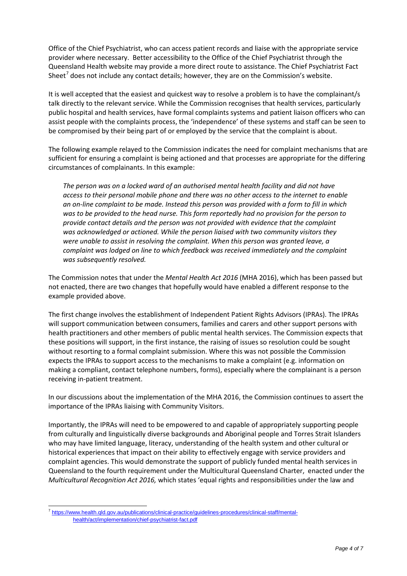Office of the Chief Psychiatrist, who can access patient records and liaise with the appropriate service provider where necessary. Better accessibility to the Office of the Chief Psychiatrist through the Queensland Health website may provide a more direct route to assistance. The Chief Psychiatrist Fact Sheet<sup>[7](#page-3-0)</sup> does not include any contact details; however, they are on the Commission's website.

It is well accepted that the easiest and quickest way to resolve a problem is to have the complainant/s talk directly to the relevant service. While the Commission recognises that health services, particularly public hospital and health services, have formal complaints systems and patient liaison officers who can assist people with the complaints process, the 'independence' of these systems and staff can be seen to be compromised by their being part of or employed by the service that the complaint is about.

The following example relayed to the Commission indicates the need for complaint mechanisms that are sufficient for ensuring a complaint is being actioned and that processes are appropriate for the differing circumstances of complainants. In this example:

*The person was on a locked ward of an authorised mental health facility and did not have access to their personal mobile phone and there was no other access to the internet to enable an on-line complaint to be made. Instead this person was provided with a form to fill in which was to be provided to the head nurse. This form reportedly had no provision for the person to provide contact details and the person was not provided with evidence that the complaint was acknowledged or actioned. While the person liaised with two community visitors they were unable to assist in resolving the complaint. When this person was granted leave, a complaint was lodged on line to which feedback was received immediately and the complaint was subsequently resolved.*

The Commission notes that under the *Mental Health Act 2016* (MHA 2016), which has been passed but not enacted, there are two changes that hopefully would have enabled a different response to the example provided above.

The first change involves the establishment of Independent Patient Rights Advisors (IPRAs). The IPRAs will support communication between consumers, families and carers and other support persons with health practitioners and other members of public mental health services. The Commission expects that these positions will support, in the first instance, the raising of issues so resolution could be sought without resorting to a formal complaint submission. Where this was not possible the Commission expects the IPRAs to support access to the mechanisms to make a complaint (e.g. information on making a compliant, contact telephone numbers, forms), especially where the complainant is a person receiving in-patient treatment.

In our discussions about the implementation of the MHA 2016, the Commission continues to assert the importance of the IPRAs liaising with Community Visitors.

Importantly, the IPRAs will need to be empowered to and capable of appropriately supporting people from culturally and linguistically diverse backgrounds and Aboriginal people and Torres Strait Islanders who may have limited language, literacy, understanding of the health system and other cultural or historical experiences that impact on their ability to effectively engage with service providers and complaint agencies. This would demonstrate the support of publicly funded mental health services in Queensland to the fourth requirement under the Multicultural Queensland Charter, enacted under the *Multicultural Recognition Act 2016,* which states 'equal rights and responsibilities under the law and

<span id="page-3-0"></span><sup>7</sup> [https://www.health.qld.gov.au/publications/clinical-practice/guidelines-procedures/clinical-staff/mental](https://www.health.qld.gov.au/publications/clinical-practice/guidelines-procedures/clinical-staff/mental-health/act/implementation/chief-psychiatrist-fact.pdf)[health/act/implementation/chief-psychiatrist-fact.pdf](https://www.health.qld.gov.au/publications/clinical-practice/guidelines-procedures/clinical-staff/mental-health/act/implementation/chief-psychiatrist-fact.pdf)  $\overline{a}$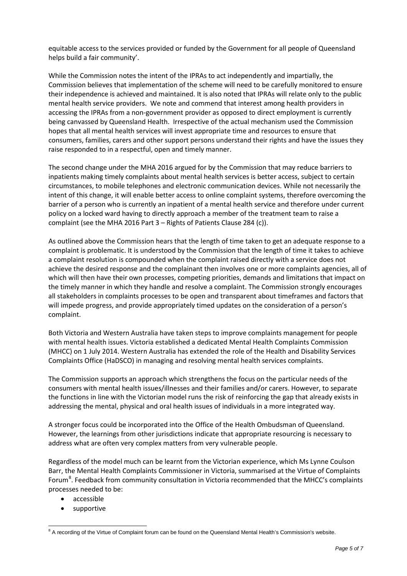equitable access to the services provided or funded by the Government for all people of Queensland helps build a fair community'.

While the Commission notes the intent of the IPRAs to act independently and impartially, the Commission believes that implementation of the scheme will need to be carefully monitored to ensure their independence is achieved and maintained. It is also noted that IPRAs will relate only to the public mental health service providers. We note and commend that interest among health providers in accessing the IPRAs from a non-government provider as opposed to direct employment is currently being canvassed by Queensland Health. Irrespective of the actual mechanism used the Commission hopes that all mental health services will invest appropriate time and resources to ensure that consumers, families, carers and other support persons understand their rights and have the issues they raise responded to in a respectful, open and timely manner.

The second change under the MHA 2016 argued for by the Commission that may reduce barriers to inpatients making timely complaints about mental health services is better access, subject to certain circumstances, to mobile telephones and electronic communication devices. While not necessarily the intent of this change, it will enable better access to online complaint systems, therefore overcoming the barrier of a person who is currently an inpatient of a mental health service and therefore under current policy on a locked ward having to directly approach a member of the treatment team to raise a complaint (see the MHA 2016 Part 3 – Rights of Patients Clause 284 (c)).

As outlined above the Commission hears that the length of time taken to get an adequate response to a complaint is problematic. It is understood by the Commission that the length of time it takes to achieve a complaint resolution is compounded when the complaint raised directly with a service does not achieve the desired response and the complainant then involves one or more complaints agencies, all of which will then have their own processes, competing priorities, demands and limitations that impact on the timely manner in which they handle and resolve a complaint. The Commission strongly encourages all stakeholders in complaints processes to be open and transparent about timeframes and factors that will impede progress, and provide appropriately timed updates on the consideration of a person's complaint.

Both Victoria and Western Australia have taken steps to improve complaints management for people with mental health issues. Victoria established a dedicated Mental Health Complaints Commission (MHCC) on 1 July 2014. Western Australia has extended the role of the Health and Disability Services Complaints Office (HaDSCO) in managing and resolving mental health services complaints.

The Commission supports an approach which strengthens the focus on the particular needs of the consumers with mental health issues/illnesses and their families and/or carers. However, to separate the functions in line with the Victorian model runs the risk of reinforcing the gap that already exists in addressing the mental, physical and oral health issues of individuals in a more integrated way.

A stronger focus could be incorporated into the Office of the Health Ombudsman of Queensland. However, the learnings from other jurisdictions indicate that appropriate resourcing is necessary to address what are often very complex matters from very vulnerable people.

Regardless of the model much can be learnt from the Victorian experience, which Ms Lynne Coulson Barr, the Mental Health Complaints Commissioner in Victoria, summarised at the Virtue of Complaints Forum<sup>[8](#page-4-0)</sup>. Feedback from community consultation in Victoria recommended that the MHCC's complaints processes needed to be:

- accessible
- supportive

<span id="page-4-0"></span> $8$  A recording of the Virtue of Complaint forum can be found on the Queensland Mental Health's Commission's website.  $\overline{a}$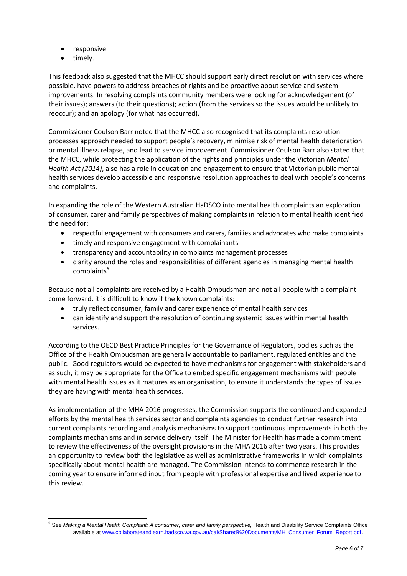- responsive
- timely.

This feedback also suggested that the MHCC should support early direct resolution with services where possible, have powers to address breaches of rights and be proactive about service and system improvements. In resolving complaints community members were looking for acknowledgement (of their issues); answers (to their questions); action (from the services so the issues would be unlikely to reoccur); and an apology (for what has occurred).

Commissioner Coulson Barr noted that the MHCC also recognised that its complaints resolution processes approach needed to support people's recovery, minimise risk of mental health deterioration or mental illness relapse, and lead to service improvement. Commissioner Coulson Barr also stated that the MHCC, while protecting the application of the rights and principles under the Victorian *Mental Health Act (2014)*, also has a role in education and engagement to ensure that Victorian public mental health services develop accessible and responsive resolution approaches to deal with people's concerns and complaints.

In expanding the role of the Western Australian HaDSCO into mental health complaints an exploration of consumer, carer and family perspectives of making complaints in relation to mental health identified the need for:

- respectful engagement with consumers and carers, families and advocates who make complaints
- timely and responsive engagement with complainants
- transparency and accountability in complaints management processes
- clarity around the roles and responsibilities of different agencies in managing mental health complaints<sup>[9](#page-5-0)</sup>.

Because not all complaints are received by a Health Ombudsman and not all people with a complaint come forward, it is difficult to know if the known complaints:

- truly reflect consumer, family and carer experience of mental health services
- can identify and support the resolution of continuing systemic issues within mental health services.

According to the OECD Best Practice Principles for the Governance of Regulators, bodies such as the Office of the Health Ombudsman are generally accountable to parliament, regulated entities and the public. Good regulators would be expected to have mechanisms for engagement with stakeholders and as such, it may be appropriate for the Office to embed specific engagement mechanisms with people with mental health issues as it matures as an organisation, to ensure it understands the types of issues they are having with mental health services.

As implementation of the MHA 2016 progresses, the Commission supports the continued and expanded efforts by the mental health services sector and complaints agencies to conduct further research into current complaints recording and analysis mechanisms to support continuous improvements in both the complaints mechanisms and in service delivery itself. The Minister for Health has made a commitment to review the effectiveness of the oversight provisions in the MHA 2016 after two years. This provides an opportunity to review both the legislative as well as administrative frameworks in which complaints specifically about mental health are managed. The Commission intends to commence research in the coming year to ensure informed input from people with professional expertise and lived experience to this review.

<span id="page-5-0"></span><sup>9</sup> See *Making a Mental Health Complaint: A consumer, carer and family perspective,* Health and Disability Service Complaints Office available at www.collaborateandlearn.hadsco.wa.gov.au/cal/Shared%20Documents/MH\_Consumer\_Forum\_Report.pdf.  $\overline{1}$